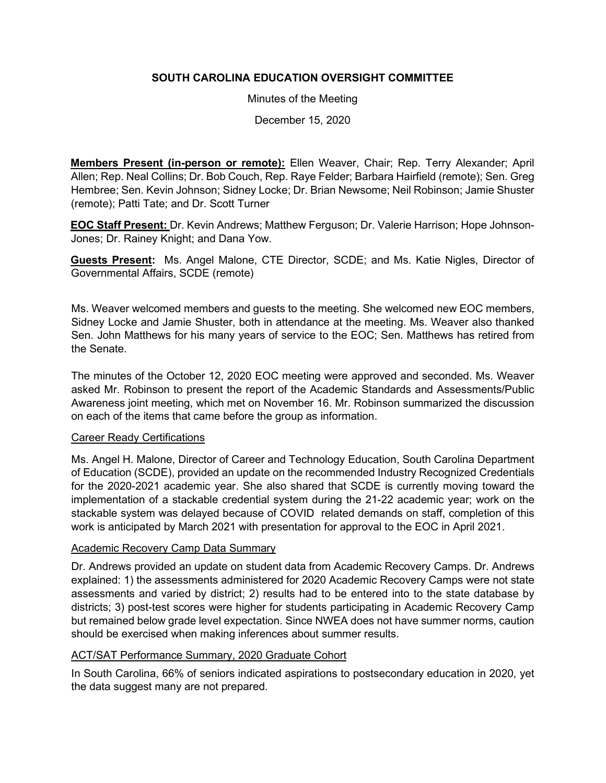# **SOUTH CAROLINA EDUCATION OVERSIGHT COMMITTEE**

Minutes of the Meeting

December 15, 2020

**Members Present (in-person or remote):** Ellen Weaver, Chair; Rep. Terry Alexander; April Allen; Rep. Neal Collins; Dr. Bob Couch, Rep. Raye Felder; Barbara Hairfield (remote); Sen. Greg Hembree; Sen. Kevin Johnson; Sidney Locke; Dr. Brian Newsome; Neil Robinson; Jamie Shuster (remote); Patti Tate; and Dr. Scott Turner

**EOC Staff Present:** Dr. Kevin Andrews; Matthew Ferguson; Dr. Valerie Harrison; Hope Johnson-Jones; Dr. Rainey Knight; and Dana Yow.

**Guests Present:** Ms. Angel Malone, CTE Director, SCDE; and Ms. Katie Nigles, Director of Governmental Affairs, SCDE (remote)

Ms. Weaver welcomed members and guests to the meeting. She welcomed new EOC members, Sidney Locke and Jamie Shuster, both in attendance at the meeting. Ms. Weaver also thanked Sen. John Matthews for his many years of service to the EOC; Sen. Matthews has retired from the Senate.

The minutes of the October 12, 2020 EOC meeting were approved and seconded. Ms. Weaver asked Mr. Robinson to present the report of the Academic Standards and Assessments/Public Awareness joint meeting, which met on November 16. Mr. Robinson summarized the discussion on each of the items that came before the group as information.

## Career Ready Certifications

Ms. Angel H. Malone, Director of Career and Technology Education, South Carolina Department of Education (SCDE), provided an update on the recommended Industry Recognized Credentials for the 2020-2021 academic year. She also shared that SCDE is currently moving toward the implementation of a stackable credential system during the 21-22 academic year; work on the stackable system was delayed because of COVID related demands on staff, completion of this work is anticipated by March 2021 with presentation for approval to the EOC in April 2021.

## Academic Recovery Camp Data Summary

Dr. Andrews provided an update on student data from Academic Recovery Camps. Dr. Andrews explained: 1) the assessments administered for 2020 Academic Recovery Camps were not state assessments and varied by district; 2) results had to be entered into to the state database by districts; 3) post-test scores were higher for students participating in Academic Recovery Camp but remained below grade level expectation. Since NWEA does not have summer norms, caution should be exercised when making inferences about summer results.

## ACT/SAT Performance Summary, 2020 Graduate Cohort

In South Carolina, 66% of seniors indicated aspirations to postsecondary education in 2020, yet the data suggest many are not prepared.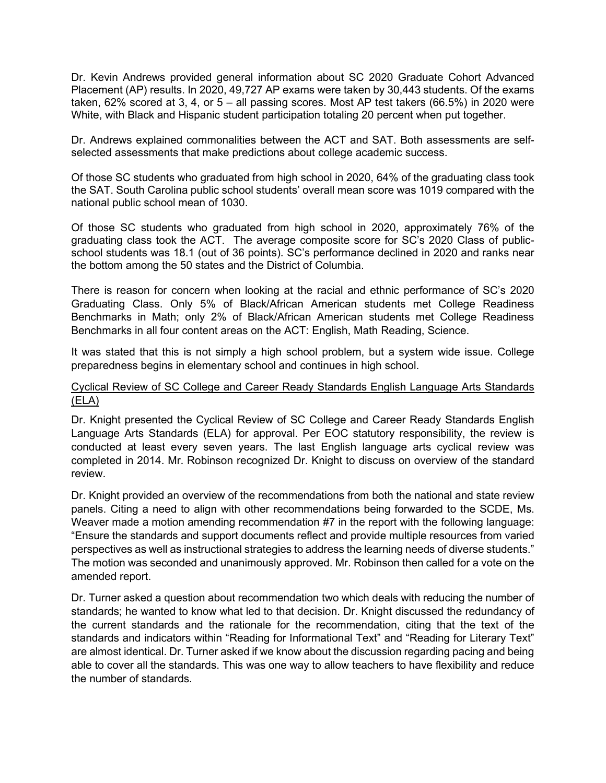Dr. Kevin Andrews provided general information about SC 2020 Graduate Cohort Advanced Placement (AP) results. In 2020, 49,727 AP exams were taken by 30,443 students. Of the exams taken, 62% scored at 3, 4, or 5 – all passing scores. Most AP test takers (66.5%) in 2020 were White, with Black and Hispanic student participation totaling 20 percent when put together.

Dr. Andrews explained commonalities between the ACT and SAT. Both assessments are selfselected assessments that make predictions about college academic success.

Of those SC students who graduated from high school in 2020, 64% of the graduating class took the SAT. South Carolina public school students' overall mean score was 1019 compared with the national public school mean of 1030.

Of those SC students who graduated from high school in 2020, approximately 76% of the graduating class took the ACT. The average composite score for SC's 2020 Class of publicschool students was 18.1 (out of 36 points). SC's performance declined in 2020 and ranks near the bottom among the 50 states and the District of Columbia.

There is reason for concern when looking at the racial and ethnic performance of SC's 2020 Graduating Class. Only 5% of Black/African American students met College Readiness Benchmarks in Math; only 2% of Black/African American students met College Readiness Benchmarks in all four content areas on the ACT: English, Math Reading, Science.

It was stated that this is not simply a high school problem, but a system wide issue. College preparedness begins in elementary school and continues in high school.

## Cyclical Review of SC College and Career Ready Standards English Language Arts Standards (ELA)

Dr. Knight presented the Cyclical Review of SC College and Career Ready Standards English Language Arts Standards (ELA) for approval. Per EOC statutory responsibility, the review is conducted at least every seven years. The last English language arts cyclical review was completed in 2014. Mr. Robinson recognized Dr. Knight to discuss on overview of the standard review.

Dr. Knight provided an overview of the recommendations from both the national and state review panels. Citing a need to align with other recommendations being forwarded to the SCDE, Ms. Weaver made a motion amending recommendation #7 in the report with the following language: "Ensure the standards and support documents reflect and provide multiple resources from varied perspectives as well as instructional strategies to address the learning needs of diverse students." The motion was seconded and unanimously approved. Mr. Robinson then called for a vote on the amended report.

Dr. Turner asked a question about recommendation two which deals with reducing the number of standards; he wanted to know what led to that decision. Dr. Knight discussed the redundancy of the current standards and the rationale for the recommendation, citing that the text of the standards and indicators within "Reading for Informational Text" and "Reading for Literary Text" are almost identical. Dr. Turner asked if we know about the discussion regarding pacing and being able to cover all the standards. This was one way to allow teachers to have flexibility and reduce the number of standards.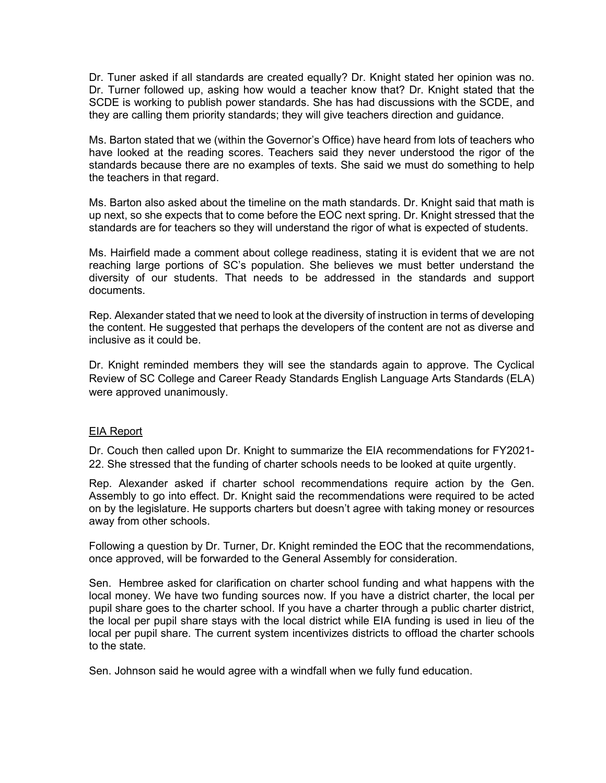Dr. Tuner asked if all standards are created equally? Dr. Knight stated her opinion was no. Dr. Turner followed up, asking how would a teacher know that? Dr. Knight stated that the SCDE is working to publish power standards. She has had discussions with the SCDE, and they are calling them priority standards; they will give teachers direction and guidance.

Ms. Barton stated that we (within the Governor's Office) have heard from lots of teachers who have looked at the reading scores. Teachers said they never understood the rigor of the standards because there are no examples of texts. She said we must do something to help the teachers in that regard.

Ms. Barton also asked about the timeline on the math standards. Dr. Knight said that math is up next, so she expects that to come before the EOC next spring. Dr. Knight stressed that the standards are for teachers so they will understand the rigor of what is expected of students.

Ms. Hairfield made a comment about college readiness, stating it is evident that we are not reaching large portions of SC's population. She believes we must better understand the diversity of our students. That needs to be addressed in the standards and support documents.

Rep. Alexander stated that we need to look at the diversity of instruction in terms of developing the content. He suggested that perhaps the developers of the content are not as diverse and inclusive as it could be.

Dr. Knight reminded members they will see the standards again to approve. The Cyclical Review of SC College and Career Ready Standards English Language Arts Standards (ELA) were approved unanimously.

#### EIA Report

Dr. Couch then called upon Dr. Knight to summarize the EIA recommendations for FY2021- 22. She stressed that the funding of charter schools needs to be looked at quite urgently.

Rep. Alexander asked if charter school recommendations require action by the Gen. Assembly to go into effect. Dr. Knight said the recommendations were required to be acted on by the legislature. He supports charters but doesn't agree with taking money or resources away from other schools.

Following a question by Dr. Turner, Dr. Knight reminded the EOC that the recommendations, once approved, will be forwarded to the General Assembly for consideration.

Sen. Hembree asked for clarification on charter school funding and what happens with the local money. We have two funding sources now. If you have a district charter, the local per pupil share goes to the charter school. If you have a charter through a public charter district, the local per pupil share stays with the local district while EIA funding is used in lieu of the local per pupil share. The current system incentivizes districts to offload the charter schools to the state.

Sen. Johnson said he would agree with a windfall when we fully fund education.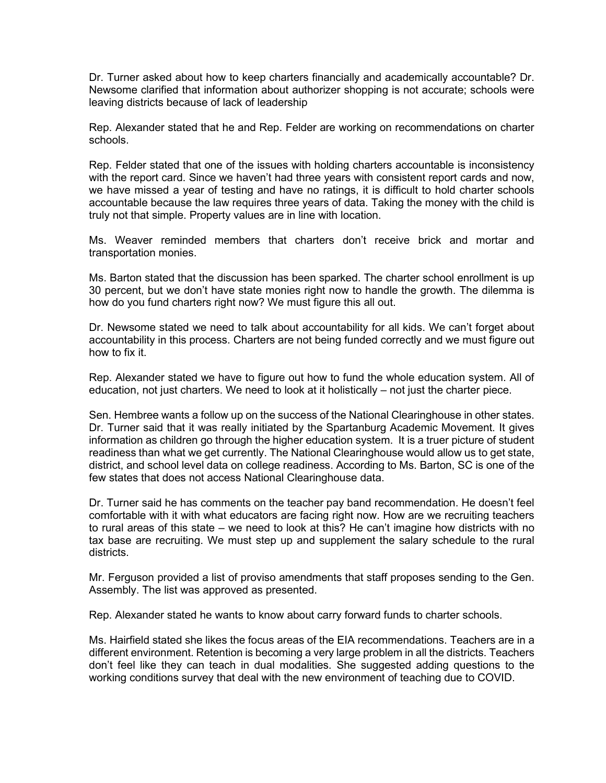Dr. Turner asked about how to keep charters financially and academically accountable? Dr. Newsome clarified that information about authorizer shopping is not accurate; schools were leaving districts because of lack of leadership

Rep. Alexander stated that he and Rep. Felder are working on recommendations on charter schools.

Rep. Felder stated that one of the issues with holding charters accountable is inconsistency with the report card. Since we haven't had three years with consistent report cards and now, we have missed a year of testing and have no ratings, it is difficult to hold charter schools accountable because the law requires three years of data. Taking the money with the child is truly not that simple. Property values are in line with location.

Ms. Weaver reminded members that charters don't receive brick and mortar and transportation monies.

Ms. Barton stated that the discussion has been sparked. The charter school enrollment is up 30 percent, but we don't have state monies right now to handle the growth. The dilemma is how do you fund charters right now? We must figure this all out.

Dr. Newsome stated we need to talk about accountability for all kids. We can't forget about accountability in this process. Charters are not being funded correctly and we must figure out how to fix it.

Rep. Alexander stated we have to figure out how to fund the whole education system. All of education, not just charters. We need to look at it holistically – not just the charter piece.

Sen. Hembree wants a follow up on the success of the National Clearinghouse in other states. Dr. Turner said that it was really initiated by the Spartanburg Academic Movement. It gives information as children go through the higher education system. It is a truer picture of student readiness than what we get currently. The National Clearinghouse would allow us to get state, district, and school level data on college readiness. According to Ms. Barton, SC is one of the few states that does not access National Clearinghouse data.

Dr. Turner said he has comments on the teacher pay band recommendation. He doesn't feel comfortable with it with what educators are facing right now. How are we recruiting teachers to rural areas of this state – we need to look at this? He can't imagine how districts with no tax base are recruiting. We must step up and supplement the salary schedule to the rural districts.

Mr. Ferguson provided a list of proviso amendments that staff proposes sending to the Gen. Assembly. The list was approved as presented.

Rep. Alexander stated he wants to know about carry forward funds to charter schools.

Ms. Hairfield stated she likes the focus areas of the EIA recommendations. Teachers are in a different environment. Retention is becoming a very large problem in all the districts. Teachers don't feel like they can teach in dual modalities. She suggested adding questions to the working conditions survey that deal with the new environment of teaching due to COVID.